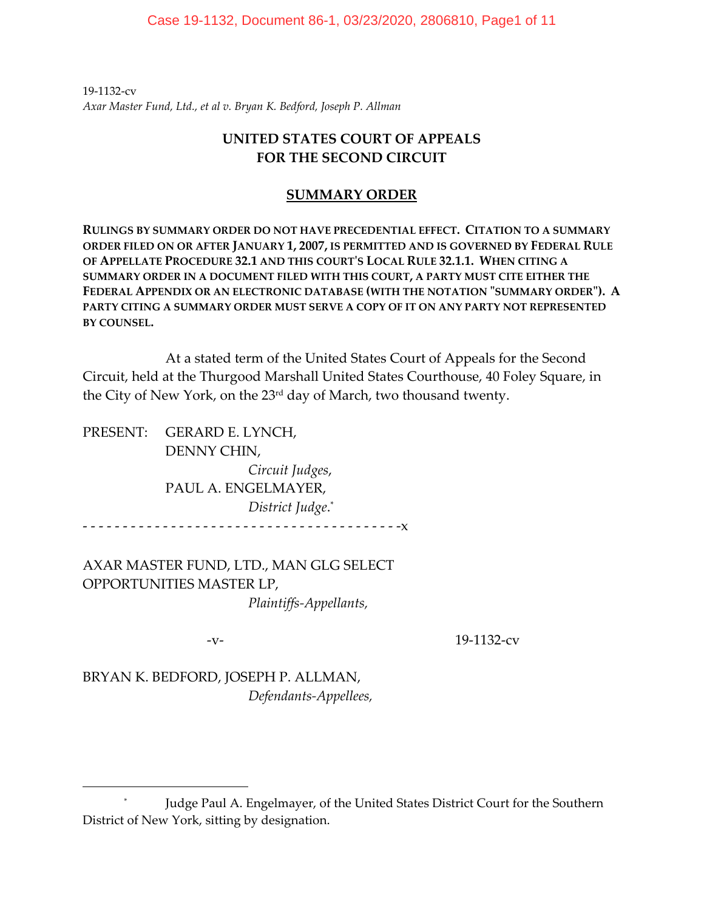19‐1132‐cv *Axar Master Fund, Ltd., et al v. Bryan K. Bedford, Joseph P. Allman*

# **UNITED STATES COURT OF APPEALS FOR THE SECOND CIRCUIT**

## **SUMMARY ORDER**

**RULINGS BY SUMMARY ORDER DO NOT HAVE PRECEDENTIAL EFFECT. CITATION TO A SUMMARY ORDER FILED ON OR AFTER JANUARY 1, 2007, IS PERMITTED AND IS GOVERNED BY FEDERAL RULE OF APPELLATE PROCEDURE 32.1 AND THIS COURTʹS LOCAL RULE 32.1.1. WHEN CITING A SUMMARY ORDER IN A DOCUMENT FILED WITH THIS COURT, A PARTY MUST CITE EITHER THE FEDERAL APPENDIX OR AN ELECTRONIC DATABASE (WITH THE NOTATION ʺSUMMARY ORDERʺ). A PARTY CITING A SUMMARY ORDER MUST SERVE A COPY OF IT ON ANY PARTY NOT REPRESENTED BY COUNSEL.**

At a stated term of the United States Court of Appeals for the Second Circuit, held at the Thurgood Marshall United States Courthouse, 40 Foley Square, in the City of New York, on the 23rd day of March, two thousand twenty.

PRESENT: GERARD E. LYNCH, DENNY CHIN,  *Circuit Judges*, PAUL A. ENGELMAYER, *District Judge*. \*  $\cdot$  - - - - - - -  $X$ 

AXAR MASTER FUND, LTD., MAN GLG SELECT OPPORTUNITIES MASTER LP, *Plaintiffs‐Appellants,*

‐v‐ 19‐1132‐cv

BRYAN K. BEDFORD, JOSEPH P. ALLMAN,  *Defendants‐Appellees,*

<sup>\*</sup> Judge Paul A. Engelmayer, of the United States District Court for the Southern District of New York, sitting by designation.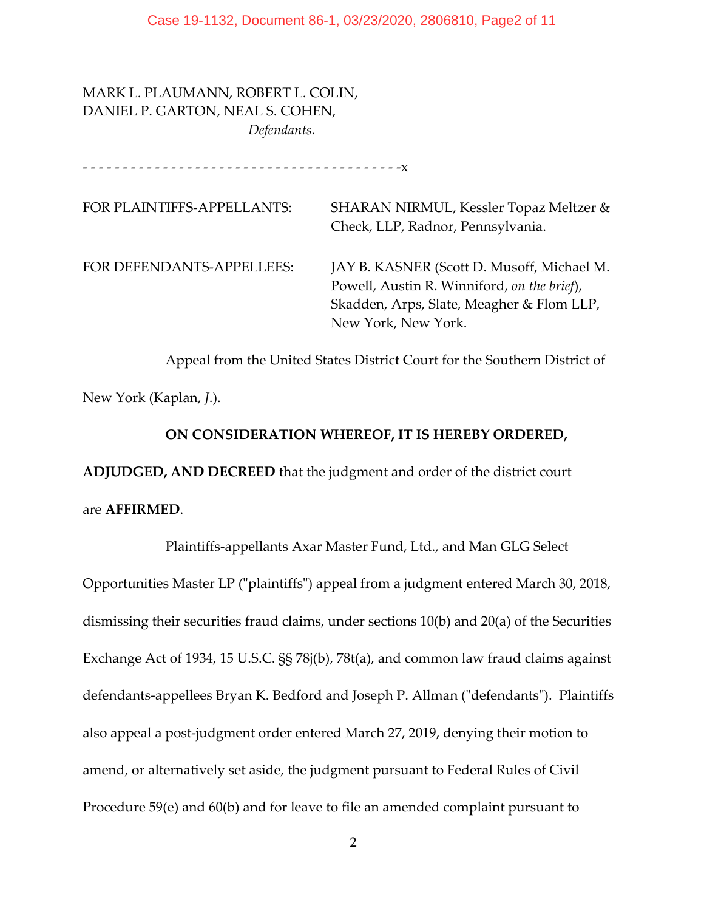MARK L. PLAUMANN, ROBERT L. COLIN, DANIEL P. GARTON, NEAL S. COHEN,  *Defendants.*

‐ ‐ ‐ ‐ ‐ ‐ ‐ ‐ ‐ ‐ ‐ ‐ ‐ ‐ ‐ ‐ ‐ ‐ ‐ ‐ ‐ ‐ ‐ ‐ ‐ ‐ ‐ ‐ ‐ ‐ ‐ ‐ ‐ ‐ ‐ ‐ ‐ ‐ ‐ ‐x

FOR PLAINTIFFS-APPELLANTS: SHARAN NIRMUL, Kessler Topaz Meltzer & Check, LLP, Radnor, Pennsylvania. FOR DEFENDANTS‐APPELLEES: JAY B. KASNER (Scott D. Musoff, Michael M. Powell, Austin R. Winniford, *on the brief*), Skadden, Arps, Slate, Meagher & Flom LLP, New York, New York.

Appeal from the United States District Court for the Southern District of

New York (Kaplan, *J*.).

### **ON CONSIDERATION WHEREOF, IT IS HEREBY ORDERED,**

**ADJUDGED, AND DECREED** that the judgment and order of the district court

are **AFFIRMED**.

 Plaintiffs‐appellants Axar Master Fund, Ltd., and Man GLG Select Opportunities Master LP ("plaintiffs") appeal from a judgment entered March 30, 2018, dismissing their securities fraud claims, under sections 10(b) and 20(a) of the Securities Exchange Act of 1934, 15 U.S.C. §§ 78j(b), 78t(a), and common law fraud claims against defendants-appellees Bryan K. Bedford and Joseph P. Allman ("defendants"). Plaintiffs also appeal a post‐judgment order entered March 27, 2019, denying their motion to amend, or alternatively set aside, the judgment pursuant to Federal Rules of Civil Procedure 59(e) and 60(b) and for leave to file an amended complaint pursuant to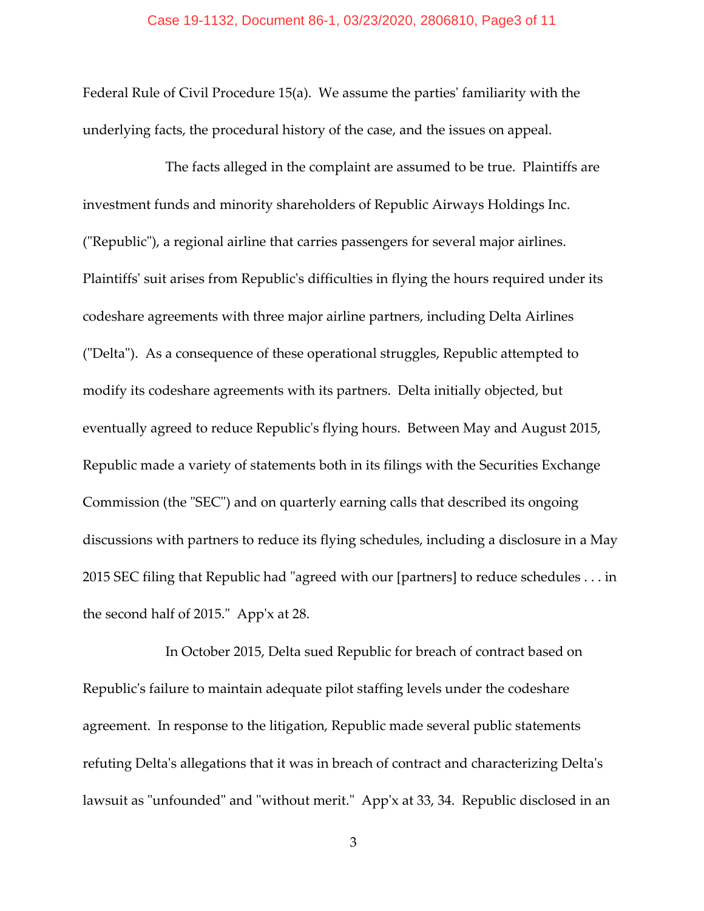Federal Rule of Civil Procedure 15(a). We assume the parties' familiarity with the underlying facts, the procedural history of the case, and the issues on appeal.

 The facts alleged in the complaint are assumed to be true. Plaintiffs are investment funds and minority shareholders of Republic Airways Holdings Inc. (ʺRepublicʺ), a regional airline that carries passengers for several major airlines. Plaintiffs' suit arises from Republic's difficulties in flying the hours required under its codeshare agreements with three major airline partners, including Delta Airlines ("Delta"). As a consequence of these operational struggles, Republic attempted to modify its codeshare agreements with its partners. Delta initially objected, but eventually agreed to reduce Republicʹs flying hours. Between May and August 2015, Republic made a variety of statements both in its filings with the Securities Exchange Commission (the "SEC") and on quarterly earning calls that described its ongoing discussions with partners to reduce its flying schedules, including a disclosure in a May 2015 SEC filing that Republic had "agreed with our [partners] to reduce schedules . . . in the second half of 2015." App'x at 28.

In October 2015, Delta sued Republic for breach of contract based on Republicʹs failure to maintain adequate pilot staffing levels under the codeshare agreement. In response to the litigation, Republic made several public statements refuting Delta's allegations that it was in breach of contract and characterizing Delta's lawsuit as "unfounded" and "without merit." App'x at 33, 34. Republic disclosed in an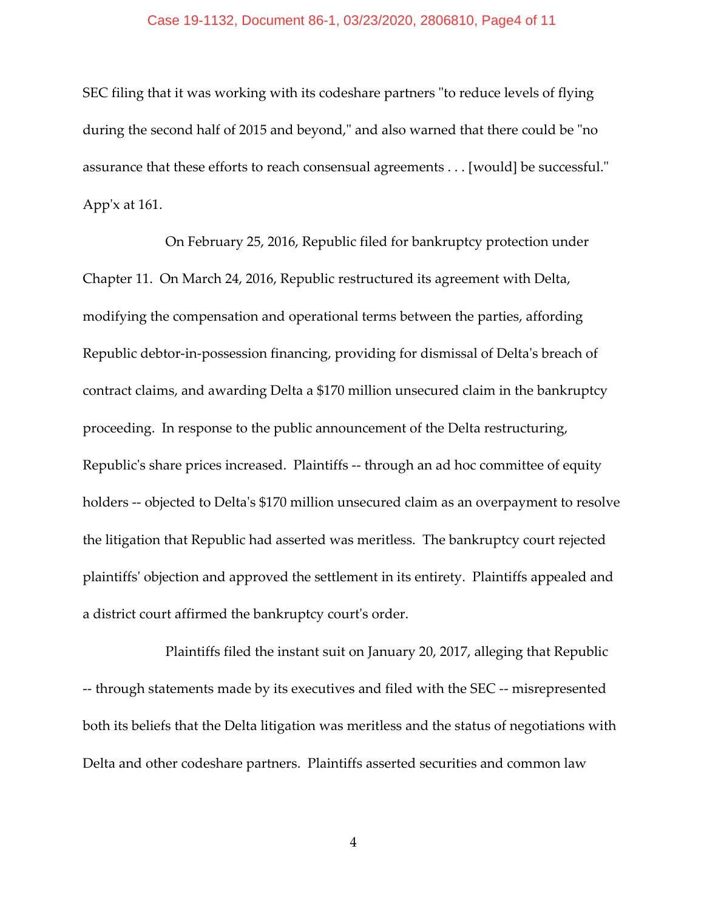### Case 19-1132, Document 86-1, 03/23/2020, 2806810, Page4 of 11

SEC filing that it was working with its codeshare partners "to reduce levels of flying during the second half of 2015 and beyond," and also warned that there could be "no assurance that these efforts to reach consensual agreements . . . [would] be successful." App'x at  $161$ .

 On February 25, 2016, Republic filed for bankruptcy protection under Chapter 11. On March 24, 2016, Republic restructured its agreement with Delta, modifying the compensation and operational terms between the parties, affording Republic debtor-in-possession financing, providing for dismissal of Delta's breach of contract claims, and awarding Delta a \$170 million unsecured claim in the bankruptcy proceeding. In response to the public announcement of the Delta restructuring, Republic's share prices increased. Plaintiffs -- through an ad hoc committee of equity holders -- objected to Delta's \$170 million unsecured claim as an overpayment to resolve the litigation that Republic had asserted was meritless. The bankruptcy court rejected plaintiffsʹ objection and approved the settlement in its entirety. Plaintiffs appealed and a district court affirmed the bankruptcy court's order.

 Plaintiffs filed the instant suit on January 20, 2017, alleging that Republic ‐‐ through statements made by its executives and filed with the SEC ‐‐ misrepresented both its beliefs that the Delta litigation was meritless and the status of negotiations with Delta and other codeshare partners. Plaintiffs asserted securities and common law

4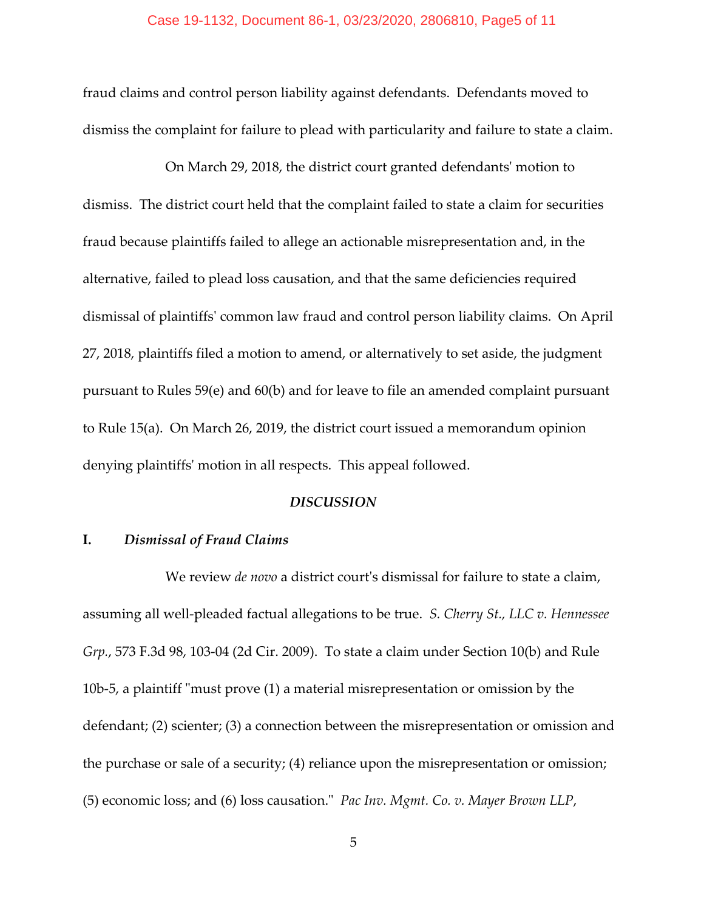### Case 19-1132, Document 86-1, 03/23/2020, 2806810, Page5 of 11

fraud claims and control person liability against defendants. Defendants moved to dismiss the complaint for failure to plead with particularity and failure to state a claim.

 On March 29, 2018, the district court granted defendantsʹ motion to dismiss. The district court held that the complaint failed to state a claim for securities fraud because plaintiffs failed to allege an actionable misrepresentation and, in the alternative, failed to plead loss causation, and that the same deficiencies required dismissal of plaintiffsʹ common law fraud and control person liability claims. On April 27, 2018, plaintiffs filed a motion to amend, or alternatively to set aside, the judgment pursuant to Rules 59(e) and 60(b) and for leave to file an amended complaint pursuant to Rule 15(a). On March 26, 2019, the district court issued a memorandum opinion denying plaintiffsʹ motion in all respects. This appeal followed.

### *DISCUSSION*

## **I.**  *Dismissal of Fraud Claims*

We review *de novo* a district court's dismissal for failure to state a claim, assuming all well‐pleaded factual allegations to be true. *S. Cherry St., LLC v. Hennessee Grp.*, 573 F.3d 98, 103‐04 (2d Cir. 2009). To state a claim under Section 10(b) and Rule 10b-5, a plaintiff "must prove  $(1)$  a material misrepresentation or omission by the defendant; (2) scienter; (3) a connection between the misrepresentation or omission and the purchase or sale of a security; (4) reliance upon the misrepresentation or omission; (5) economic loss; and (6) loss causation.ʺ *Pac Inv. Mgmt. Co. v. Mayer Brown LLP*,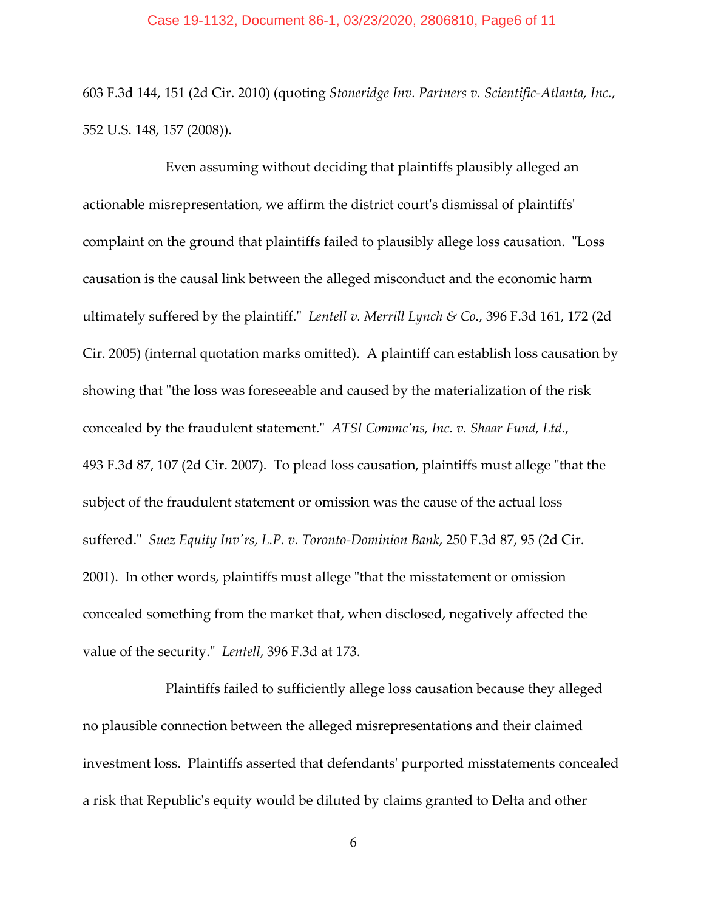### Case 19-1132, Document 86-1, 03/23/2020, 2806810, Page6 of 11

603 F.3d 144, 151 (2d Cir. 2010) (quoting *Stoneridge Inv. Partners v. Scientific‐Atlanta, Inc.*, 552 U.S. 148, 157 (2008)).

 Even assuming without deciding that plaintiffs plausibly alleged an actionable misrepresentation, we affirm the district courtʹs dismissal of plaintiffsʹ complaint on the ground that plaintiffs failed to plausibly allege loss causation. "Loss causation is the causal link between the alleged misconduct and the economic harm ultimately suffered by the plaintiff.ʺ *Lentell v. Merrill Lynch & Co.*, 396 F.3d 161, 172 (2d Cir. 2005) (internal quotation marks omitted). A plaintiff can establish loss causation by showing that "the loss was foreseeable and caused by the materialization of the risk concealed by the fraudulent statement.ʺ *ATSI Commc'ns, Inc. v. Shaar Fund, Ltd.*, 493 F.3d 87, 107 (2d Cir. 2007). To plead loss causation, plaintiffs must allege "that the subject of the fraudulent statement or omission was the cause of the actual loss suffered.ʺ *Suez Equity Invʹrs, L.P. v. Toronto‐Dominion Bank*, 250 F.3d 87, 95 (2d Cir. 2001). In other words, plaintiffs must allege "that the misstatement or omission concealed something from the market that, when disclosed, negatively affected the value of the security." Lentell, 396 F.3d at 173.

 Plaintiffs failed to sufficiently allege loss causation because they alleged no plausible connection between the alleged misrepresentations and their claimed investment loss. Plaintiffs asserted that defendantsʹ purported misstatements concealed a risk that Republicʹs equity would be diluted by claims granted to Delta and other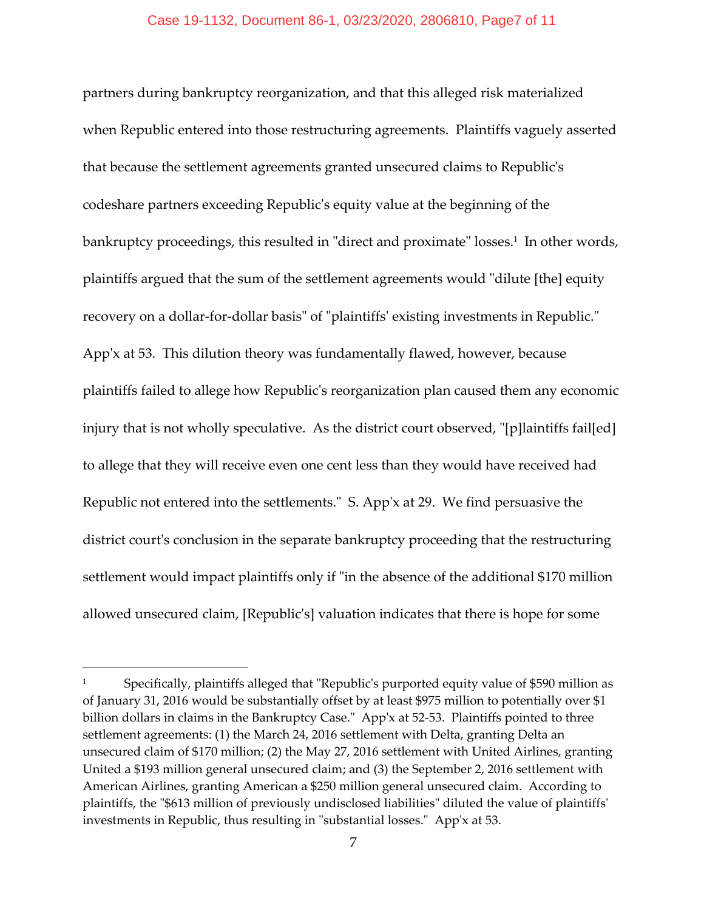## Case 19-1132, Document 86-1, 03/23/2020, 2806810, Page7 of 11

partners during bankruptcy reorganization, and that this alleged risk materialized when Republic entered into those restructuring agreements. Plaintiffs vaguely asserted that because the settlement agreements granted unsecured claims to Republicʹs codeshare partners exceeding Republicʹs equity value at the beginning of the bankruptcy proceedings, this resulted in "direct and proximate" losses.<sup>1</sup> In other words, plaintiffs argued that the sum of the settlement agreements would "dilute [the] equity recovery on a dollar-for-dollar basis" of "plaintiffs' existing investments in Republic." App'x at 53. This dilution theory was fundamentally flawed, however, because plaintiffs failed to allege how Republicʹs reorganization plan caused them any economic injury that is not wholly speculative. As the district court observed, "[p]laintiffs fail[ed] to allege that they will receive even one cent less than they would have received had Republic not entered into the settlements." S. App'x at 29. We find persuasive the district court's conclusion in the separate bankruptcy proceeding that the restructuring settlement would impact plaintiffs only if "in the absence of the additional \$170 million allowed unsecured claim, [Republicʹs] valuation indicates that there is hope for some

Specifically, plaintiffs alleged that "Republic's purported equity value of \$590 million as of January 31, 2016 would be substantially offset by at least \$975 million to potentially over \$1 billion dollars in claims in the Bankruptcy Case." App'x at 52-53. Plaintiffs pointed to three settlement agreements: (1) the March 24, 2016 settlement with Delta, granting Delta an unsecured claim of \$170 million; (2) the May 27, 2016 settlement with United Airlines, granting United a \$193 million general unsecured claim; and (3) the September 2, 2016 settlement with American Airlines, granting American a \$250 million general unsecured claim. According to plaintiffs, the "\$613 million of previously undisclosed liabilities" diluted the value of plaintiffs' investments in Republic, thus resulting in "substantial losses." App'x at 53.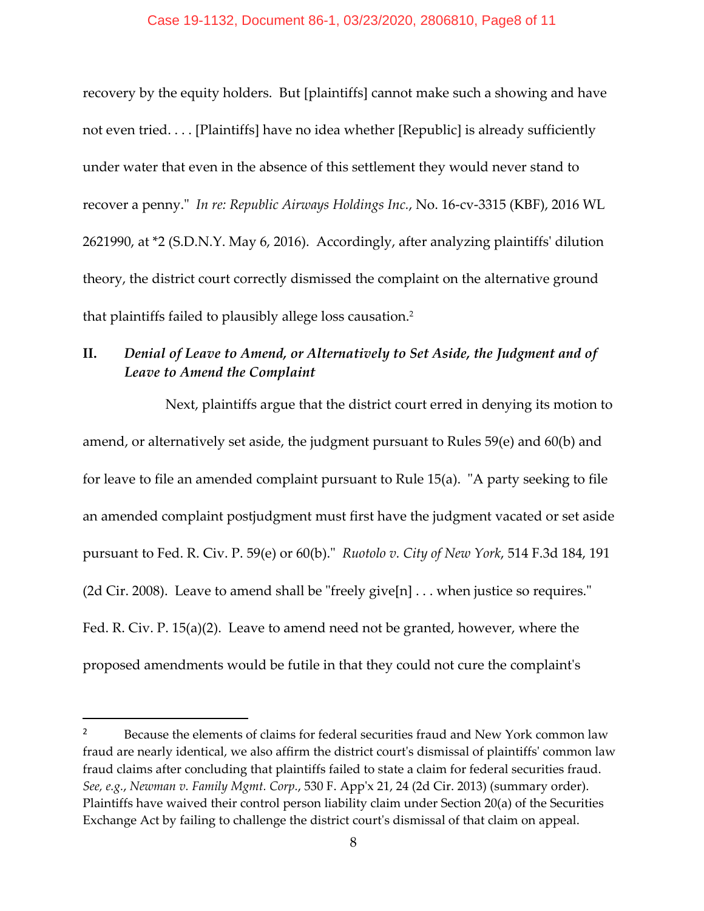## Case 19-1132, Document 86-1, 03/23/2020, 2806810, Page8 of 11

recovery by the equity holders. But [plaintiffs] cannot make such a showing and have not even tried. . . . [Plaintiffs] have no idea whether [Republic] is already sufficiently under water that even in the absence of this settlement they would never stand to recover a penny.ʺ *In re: Republic Airways Holdings Inc.*, No. 16‐cv‐3315 (KBF), 2016 WL 2621990, at \*2 (S.D.N.Y. May 6, 2016). Accordingly, after analyzing plaintiffsʹ dilution theory, the district court correctly dismissed the complaint on the alternative ground that plaintiffs failed to plausibly allege loss causation.2

# **II.**  *Denial of Leave to Amend, or Alternatively to Set Aside, the Judgment and of Leave to Amend the Complaint*

 Next, plaintiffs argue that the district court erred in denying its motion to amend, or alternatively set aside, the judgment pursuant to Rules 59(e) and 60(b) and for leave to file an amended complaint pursuant to Rule 15(a). "A party seeking to file an amended complaint postjudgment must first have the judgment vacated or set aside pursuant to Fed. R. Civ. P. 59(e) or 60(b).ʺ *Ruotolo v. City of New York*, 514 F.3d 184, 191 (2d Cir. 2008). Leave to amend shall be "freely give[n]  $\dots$  when justice so requires." Fed. R. Civ. P. 15(a)(2). Leave to amend need not be granted, however, where the proposed amendments would be futile in that they could not cure the complaintʹs

<sup>&</sup>lt;sup>2</sup> Because the elements of claims for federal securities fraud and New York common law fraud are nearly identical, we also affirm the district court's dismissal of plaintiffs' common law fraud claims after concluding that plaintiffs failed to state a claim for federal securities fraud. *See, e.g.*, *Newman v. Family Mgmt. Corp.*, 530 F. Appʹx 21, 24 (2d Cir. 2013) (summary order). Plaintiffs have waived their control person liability claim under Section 20(a) of the Securities Exchange Act by failing to challenge the district courtʹs dismissal of that claim on appeal.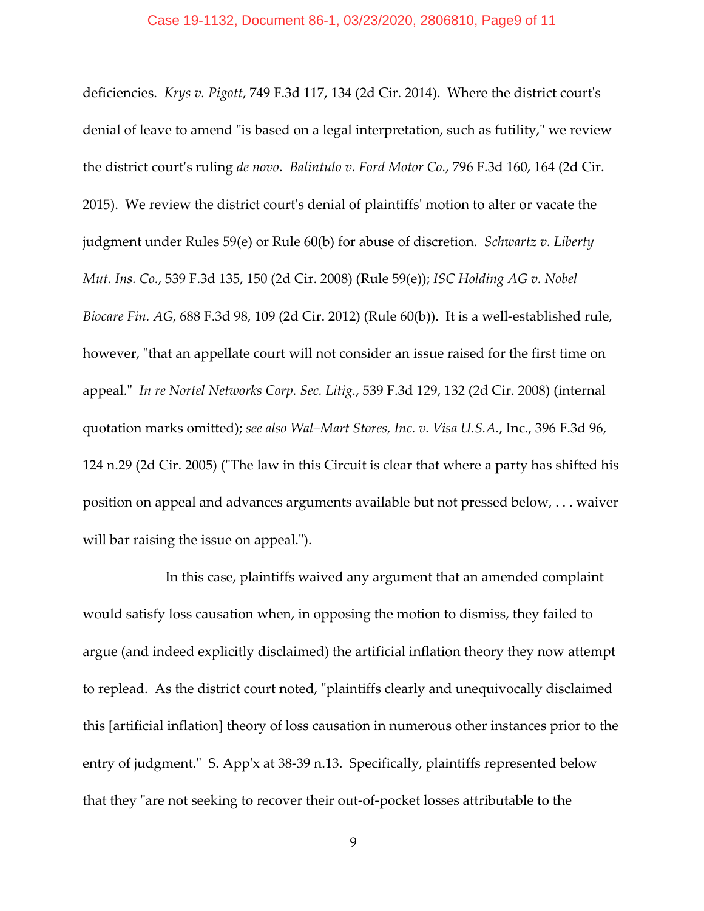### Case 19-1132, Document 86-1, 03/23/2020, 2806810, Page9 of 11

deficiencies. *Krys v. Pigott*, 749 F.3d 117, 134 (2d Cir. 2014). Where the district courtʹs denial of leave to amend "is based on a legal interpretation, such as futility," we review the district courtʹs ruling *de novo*. *Balintulo v. Ford Motor Co.*, 796 F.3d 160, 164 (2d Cir. 2015). We review the district courtʹs denial of plaintiffsʹ motion to alter or vacate the judgment under Rules 59(e) or Rule 60(b) for abuse of discretion. *Schwartz v. Liberty Mut. Ins. Co.*, 539 F.3d 135, 150 (2d Cir. 2008) (Rule 59(e)); *ISC Holding AG v. Nobel Biocare Fin. AG*, 688 F.3d 98, 109 (2d Cir. 2012) (Rule 60(b)). It is a well‐established rule, however, "that an appellate court will not consider an issue raised for the first time on appeal.ʺ *In re Nortel Networks Corp. Sec. Litig.*, 539 F.3d 129, 132 (2d Cir. 2008) (internal quotation marks omitted); *see also Wal–Mart Stores, Inc. v. Visa U.S.A.*, Inc., 396 F.3d 96, 124 n.29 (2d Cir. 2005) ("The law in this Circuit is clear that where a party has shifted his position on appeal and advances arguments available but not pressed below, . . . waiver will bar raising the issue on appeal.").

 In this case, plaintiffs waived any argument that an amended complaint would satisfy loss causation when, in opposing the motion to dismiss, they failed to argue (and indeed explicitly disclaimed) the artificial inflation theory they now attempt to replead. As the district court noted, "plaintiffs clearly and unequivocally disclaimed this [artificial inflation] theory of loss causation in numerous other instances prior to the entry of judgment." S. App'x at 38-39 n.13. Specifically, plaintiffs represented below that they "are not seeking to recover their out-of-pocket losses attributable to the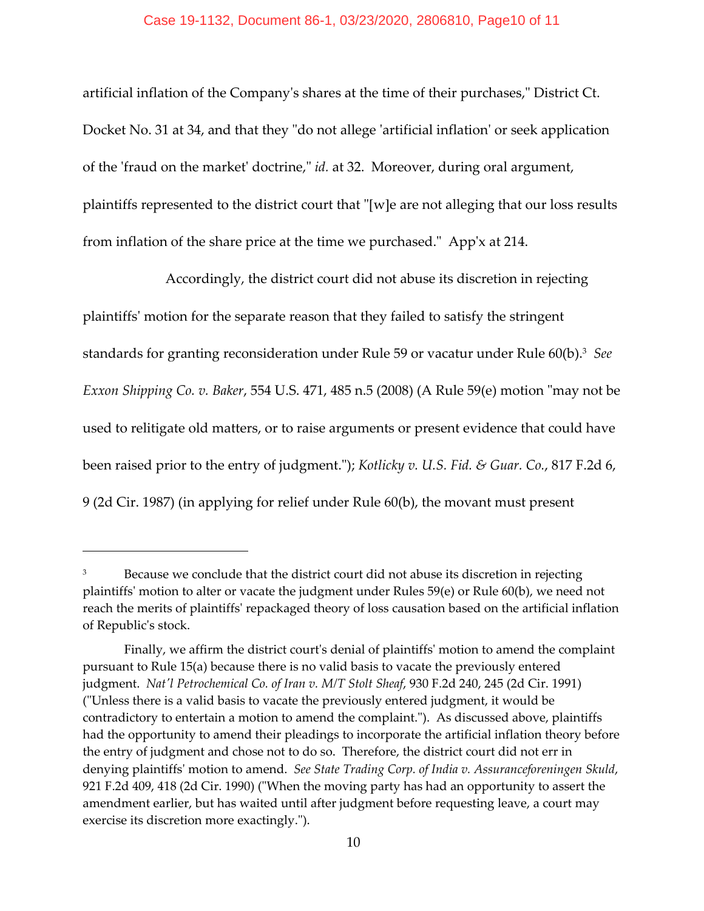## Case 19-1132, Document 86-1, 03/23/2020, 2806810, Page10 of 11

artificial inflation of the Company's shares at the time of their purchases," District Ct. Docket No. 31 at 34, and that they "do not allege 'artificial inflation' or seek application of the 'fraud on the market' doctrine," *id.* at 32. Moreover, during oral argument, plaintiffs represented to the district court that "[w]e are not alleging that our loss results from inflation of the share price at the time we purchased." App'x at 214.

 Accordingly, the district court did not abuse its discretion in rejecting plaintiffsʹ motion for the separate reason that they failed to satisfy the stringent standards for granting reconsideration under Rule 59 or vacatur under Rule 60(b).3 *See Exxon Shipping Co. v. Baker,* 554 U.S. 471, 485 n.5 (2008) (A Rule 59(e) motion "may not be used to relitigate old matters, or to raise arguments or present evidence that could have been raised prior to the entry of judgment.ʺ); *Kotlicky v. U.S. Fid. & Guar. Co.*, 817 F.2d 6, 9 (2d Cir. 1987) (in applying for relief under Rule 60(b), the movant must present

<sup>&</sup>lt;sup>3</sup> Because we conclude that the district court did not abuse its discretion in rejecting plaintiffsʹ motion to alter or vacate the judgment under Rules 59(e) or Rule 60(b), we need not reach the merits of plaintiffsʹ repackaged theory of loss causation based on the artificial inflation of Republicʹs stock.

Finally, we affirm the district court's denial of plaintiffs' motion to amend the complaint pursuant to Rule 15(a) because there is no valid basis to vacate the previously entered judgment. *Natʹl Petrochemical Co. of Iran v. M/T Stolt Sheaf*, 930 F.2d 240, 245 (2d Cir. 1991) (ʺUnless there is a valid basis to vacate the previously entered judgment, it would be contradictory to entertain a motion to amend the complaint."). As discussed above, plaintiffs had the opportunity to amend their pleadings to incorporate the artificial inflation theory before the entry of judgment and chose not to do so. Therefore, the district court did not err in denying plaintiffsʹ motion to amend. *See State Trading Corp. of India v. Assuranceforeningen Skuld*, 921 F.2d 409, 418 (2d Cir. 1990) ("When the moving party has had an opportunity to assert the amendment earlier, but has waited until after judgment before requesting leave, a court may exercise its discretion more exactingly.").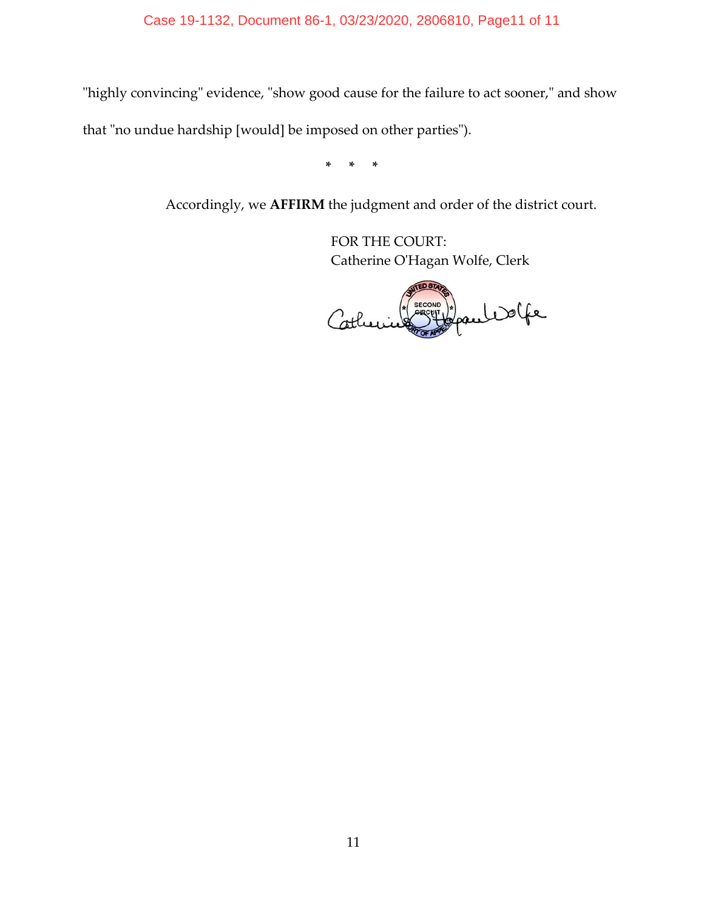# Case 19-1132, Document 86-1, 03/23/2020, 2806810, Page11 of 11

"highly convincing" evidence, "show good cause for the failure to act sooner," and show

that "no undue hardship [would] be imposed on other parties").

**\* \* \***

Accordingly, we **AFFIRM** the judgment and order of the district court.

FOR THE COURT: Catherine OʹHagan Wolfe, Clerk

Japan Wolfe Cotheri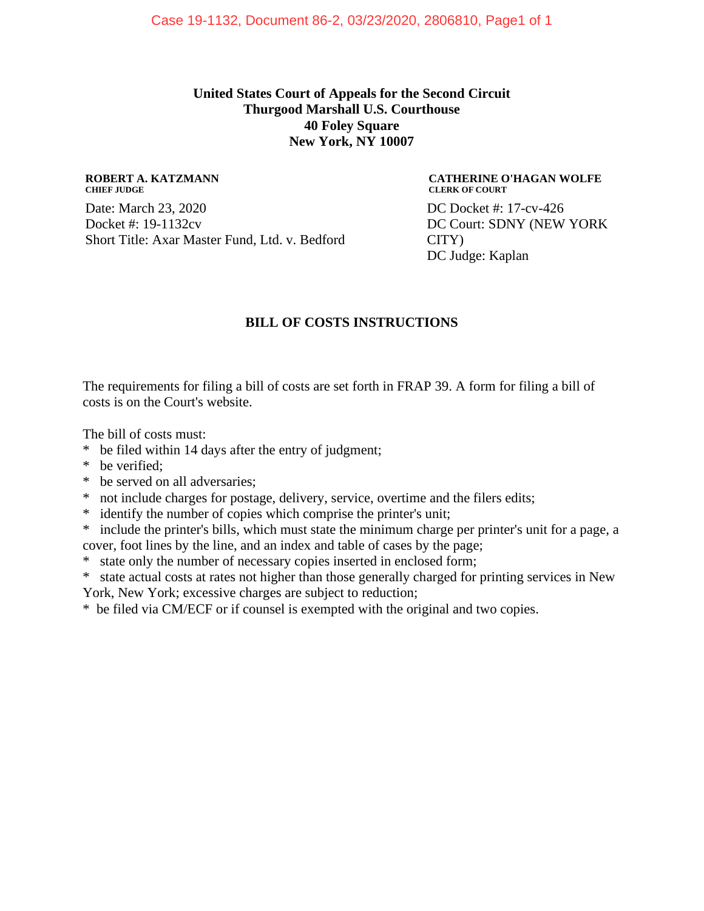## **United States Court of Appeals for the Second Circuit Thurgood Marshall U.S. Courthouse 40 Foley Square New York, NY 10007**

#### **ROBERT A. KATZMANN CHIEF JUDGE**

Date: March 23, 2020 Docket #: 19-1132cv Short Title: Axar Master Fund, Ltd. v. Bedford

#### **CATHERINE O'HAGAN WOLFE CLERK OF COURT**

DC Docket #: 17-cv-426 DC Court: SDNY (NEW YORK CITY) DC Judge: Kaplan

## **BILL OF COSTS INSTRUCTIONS**

The requirements for filing a bill of costs are set forth in FRAP 39. A form for filing a bill of costs is on the Court's website.

The bill of costs must:

- \* be filed within 14 days after the entry of judgment;
- \* be verified;
- \* be served on all adversaries;
- \* not include charges for postage, delivery, service, overtime and the filers edits;
- \* identify the number of copies which comprise the printer's unit;
- \* include the printer's bills, which must state the minimum charge per printer's unit for a page, a cover, foot lines by the line, and an index and table of cases by the page;
- \* state only the number of necessary copies inserted in enclosed form;
- \* state actual costs at rates not higher than those generally charged for printing services in New
- York, New York; excessive charges are subject to reduction;

\* be filed via CM/ECF or if counsel is exempted with the original and two copies.